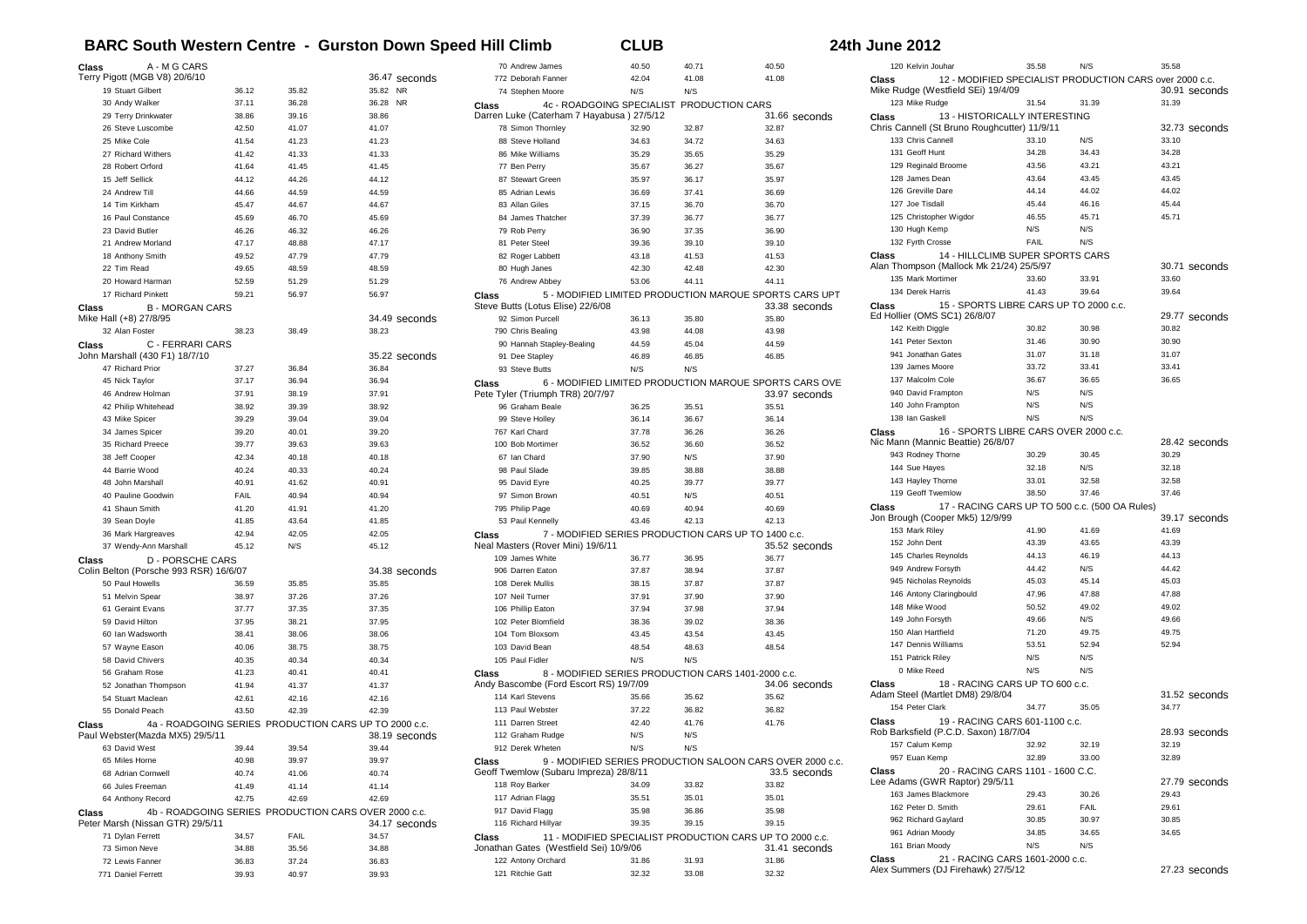## **BARC South Western Centre - Gurston Down Speed Hill Climb CLUB** 24th June 2012

| Class<br>A - M G CARS                  |       |       |                                                                       | 70 <sub>1</sub>   |
|----------------------------------------|-------|-------|-----------------------------------------------------------------------|-------------------|
| Terry Pigott (MGB V8) 20/6/10          |       |       | 36.47 seconds                                                         | 772 I             |
| 19 Stuart Gilbert                      | 36.12 | 35.82 | 35.82 NR                                                              | 74:               |
| 30 Andy Walker                         | 37.11 | 36.28 | 36.28 NR                                                              | Class             |
| 29 Terry Drinkwater                    | 38.86 | 39.16 | 38.86                                                                 | Darren Li         |
| 26 Steve Luscombe                      | 42.50 | 41.07 | 41.07                                                                 | 78 :              |
| 25 Mike Cole                           | 41.54 | 41.23 | 41.23                                                                 | 88 :              |
| 27 Richard Withers                     | 41.42 | 41.33 | 41.33                                                                 | 86                |
| 28 Robert Orford                       |       |       |                                                                       |                   |
|                                        | 41.64 | 41.45 | 41.45                                                                 | 77 I              |
| 15 Jeff Sellick                        | 44.12 | 44.26 | 44.12                                                                 | 87:               |
| 24 Andrew Till                         | 44.66 | 44.59 | 44.59                                                                 | 85 <sub>1</sub>   |
| 14 Tim Kirkham                         | 45.47 | 44.67 | 44.67                                                                 | 83 <sub>1</sub>   |
| 16 Paul Constance                      | 45.69 | 46.70 | 45.69                                                                 | 84.               |
| 23 David Butler                        | 46.26 | 46.32 | 46.26                                                                 | 79 l              |
| 21 Andrew Morland                      | 47.17 | 48.88 | 47.17                                                                 | 81 l              |
| 18 Anthony Smith                       | 49.52 | 47.79 | 47.79                                                                 | 82                |
| 22 Tim Read                            | 49.65 | 48.59 | 48.59                                                                 | 80 l              |
| 20 Howard Harman                       | 52.59 | 51.29 | 51.29                                                                 | 76 <sub>1</sub>   |
| 17 Richard Pinkett                     | 59.21 | 56.97 | 56.97                                                                 | Class             |
| <b>B-MORGAN CARS</b><br>Class          |       |       |                                                                       | Steve Bu          |
| Mike Hall (+8) 27/8/95                 |       |       | 34.49 seconds                                                         | 92:               |
| 32 Alan Foster                         | 38.23 | 38.49 | 38.23                                                                 | 790               |
| Class<br>C - FERRARI CARS              |       |       |                                                                       | 90 <sub>1</sub>   |
| John Marshall (430 F1) 18/7/10         |       |       | 35.22 seconds                                                         | 91                |
| 47 Richard Prior                       | 37.27 | 36.84 | 36.84                                                                 | 93 :              |
| 45 Nick Taylor                         | 37.17 | 36.94 | 36.94                                                                 | Class             |
| 46 Andrew Holman                       | 37.91 | 38.19 | 37.91                                                                 | Pete Tyle         |
| 42 Philip Whitehead                    | 38.92 | 39.39 | 38.92                                                                 | 96 <sub>0</sub>   |
| 43 Mike Spicer                         | 39.29 | 39.04 | 39.04                                                                 | 99 :              |
| 34 James Spicer                        | 39.20 | 40.01 | 39.20                                                                 | 767 l             |
| 35 Richard Preece                      | 39.77 | 39.63 | 39.63                                                                 | 100 l             |
| 38 Jeff Cooper                         | 42.34 | 40.18 | 40.18                                                                 | 67 l              |
| 44 Barrie Wood                         | 40.24 | 40.33 | 40.24                                                                 | 98 l              |
| 48 John Marshall                       | 40.91 | 41.62 | 40.91                                                                 | 95                |
| 40 Pauline Goodwin                     | FAIL  | 40.94 | 40.94                                                                 | 97 :              |
| 41 Shaun Smith                         | 41.20 | 41.91 | 41.20                                                                 | 795               |
| 39 Sean Doyle                          | 41.85 | 43.64 | 41.85                                                                 | 53                |
| 36 Mark Hargreaves                     | 42.94 | 42.05 | 42.05                                                                 |                   |
|                                        |       | N/S   |                                                                       | Class<br>Neal Mas |
| 37 Wendy-Ann Marshall                  | 45.12 |       | 45.12                                                                 | 109,              |
| <b>D - PORSCHE CARS</b><br>Class       |       |       |                                                                       | 906               |
| Colin Belton (Porsche 993 RSR) 16/6/07 |       |       | 34.38 seconds                                                         |                   |
| 50 Paul Howells                        | 36.59 | 35.85 | 35.85                                                                 | 108 l             |
| 51 Melvin Spear                        | 38.97 | 37.26 | 37.26                                                                 | 107               |
| 61 Geraint Evans                       | 37.77 | 37.35 | 37.35                                                                 | 106 l             |
| 59 David Hilton                        | 37.95 | 38.21 | 37.95                                                                 | 102               |
| 60 Ian Wadsworth                       | 38.41 | 38.06 | 38.06                                                                 | $104 -$           |
| 57 Wayne Eason                         | 40.06 | 38.75 | 38.75                                                                 | 103 <sub>1</sub>  |
| 58 David Chivers                       | 40.35 | 40.34 | 40.34                                                                 | 105               |
| 56 Graham Rose                         | 41.23 | 40.41 | 40.41                                                                 | Class             |
| 52 Jonathan Thompson                   | 41.94 | 41.37 | 41.37                                                                 | Andy Bas          |
| 54 Stuart Maclean                      | 42.61 | 42.16 | 42.16                                                                 | 114               |
| 55 Donald Peach                        | 43.50 | 42.39 | 42.39                                                                 | 1131              |
| Class                                  |       |       | 4a - ROADGOING SERIES PRODUCTION CARS UP TO 2000 c.c.                 | 111               |
| Paul Webster(Mazda MX5) 29/5/11        |       |       | 38.19 seconds                                                         | 112 <sub>1</sub>  |
| 63 David West                          | 39.44 | 39.54 | 39.44                                                                 | 912               |
| 65 Miles Horne                         | 40.98 | 39.97 | 39.97                                                                 | Class             |
| 68 Adrian Cornwell                     | 40.74 | 41.06 | 40.74                                                                 | Geoff Tw          |
| 66 Jules Freeman                       | 41.49 | 41.14 | 41.14                                                                 | 118               |
| 64 Anthony Record                      | 42.75 | 42.69 | 42.69                                                                 | 117 <sub>1</sub>  |
| Class                                  |       |       |                                                                       | 917               |
| Peter Marsh (Nissan GTR) 29/5/11       |       |       | 4b - ROADGOING SERIES PRODUCTION CARS OVER 2000 c.c.<br>34.17 seconds | 116               |
| 71 Dylan Ferrett                       | 34.57 | FAIL  | 34.57                                                                 | Class             |
| 73 Simon Neve                          | 34.88 | 35.56 | 34.88                                                                 | Jonathan          |
| 72 Lewis Fanner                        | 36.83 | 37.24 | 36.83                                                                 | 122 <sub>1</sub>  |
| 771 Daniel Ferrett                     | 39.93 | 40.97 | 39.93                                                                 | 121               |
|                                        |       |       |                                                                       |                   |

|                 | 70 Andrew James                                                                                     | 40.50          | 40.71          | 40.50          |
|-----------------|-----------------------------------------------------------------------------------------------------|----------------|----------------|----------------|
|                 | 772 Deborah Fanner                                                                                  | 42.04          | 41.08          | 41.08          |
|                 | 74 Stephen Moore                                                                                    | N/S            | N/S            |                |
| Class           | 4c - ROADGOING SPECIALIST PRODUCTION CARS                                                           |                |                |                |
|                 | Darren Luke (Caterham 7 Hayabusa) 27/5/12                                                           |                |                | 31.66 seconds  |
|                 | 78 Simon Thornley                                                                                   | 32.90          | 32.87          | 32.87          |
|                 | 88 Steve Holland                                                                                    | 34.63          | 34.72          | 34.63          |
|                 | 86 Mike Williams                                                                                    | 35.29          | 35.65          | 35.29          |
| 77 Ben Perry    |                                                                                                     | 35.67          | 36.27          | 35.67          |
|                 | 87 Stewart Green                                                                                    | 35.97          | 36.17          | 35.97          |
|                 | 85 Adrian Lewis                                                                                     | 36.69          | 37.41          | 36.69          |
|                 | 83 Allan Giles                                                                                      | 37.15          | 36.70          | 36.70          |
|                 | 84 James Thatcher                                                                                   | 37.39          | 36.77          | 36.77          |
| 79 Rob Perry    |                                                                                                     | 36.90          | 37.35          | 36.90          |
|                 | 81 Peter Steel                                                                                      | 39.36          | 39.10          | 39.10          |
|                 | 82 Roger Labbett                                                                                    | 43.18          | 41.53          | 41.53          |
|                 | 80 Hugh Janes                                                                                       | 42.30          | 42.48          | 42.30          |
|                 | 76 Andrew Abbey                                                                                     | 53.06          | 44.11          | 44.11          |
| Class           | 5 - MODIFIED LIMITED PRODUCTION MARQUE SPORTS CARS UPT                                              |                |                |                |
|                 | Steve Butts (Lotus Elise) 22/6/08                                                                   |                |                | 33.38 seconds  |
|                 | 92 Simon Purcell                                                                                    | 36.13<br>43.98 | 35.80<br>44.08 | 35.80<br>43.98 |
|                 | 790 Chris Bealing                                                                                   |                |                |                |
|                 | 90 Hannah Stapley-Bealing                                                                           | 44.59          | 45.04          | 44.59          |
|                 | 91 Dee Stapley                                                                                      | 46.89          | 46.85          | 46.85          |
|                 | 93 Steve Butts                                                                                      | N/S            | N/S            |                |
| Class           | 6 - MODIFIED LIMITED PRODUCTION MARQUE SPORTS CARS OVE<br>Pete Tyler (Triumph TR8) 20/7/97          |                |                | 33.97 seconds  |
|                 | 96 Graham Beale                                                                                     | 36.25          | 35.51          | 35.51          |
|                 | 99 Steve Holley                                                                                     | 36.14          | 36.67          | 36.14          |
| 767 Karl Chard  |                                                                                                     | 37.78          | 36.26          | 36.26          |
|                 | 100 Bob Mortimer                                                                                    | 36.52          | 36.60          | 36.52          |
| 67 Ian Chard    |                                                                                                     | 37.90          | N/S            | 37.90          |
|                 | 98 Paul Slade                                                                                       | 39.85          | 38.88          | 38.88          |
|                 | 95 David Eyre                                                                                       | 40.25          | 39.77          | 39.77          |
|                 | 97 Simon Brown                                                                                      | 40.51          | N/S            | 40.51          |
| 795 Philip Page |                                                                                                     | 40.69          | 40.94          | 40.69          |
|                 | 53 Paul Kennelly                                                                                    | 43.46          | 42.13          | 42.13          |
| Class           | 7 - MODIFIED SERIES PRODUCTION CARS UP TO 1400 c.c.                                                 |                |                |                |
|                 | Neal Masters (Rover Mini) 19/6/11                                                                   |                |                | 35.52 seconds  |
|                 | 109 James White                                                                                     | 36.77          | 36.95          | 36.77          |
|                 | 906 Darren Eaton                                                                                    | 37.87          | 38.94          | 37.87          |
|                 | 108 Derek Mullis                                                                                    | 38.15          | 37.87          | 37.87          |
| 107 Neil Turner |                                                                                                     | 37.91          | 37.90          | 37.90          |
|                 | 106 Phillip Eaton                                                                                   | 37.94          | 37.98          | 37.94          |
|                 | 102 Peter Blomfield                                                                                 | 38.36          | 39.02          | 38.36          |
|                 | 104 Tom Bloxsom                                                                                     | 43.45          | 43.54          | 43.45          |
| 103 David Bean  |                                                                                                     | 48.54          | 48.63          | 48.54          |
| 105 Paul Fidler |                                                                                                     | N/S            | N/S            |                |
| Class           | 8 - MODIFIED SERIES PRODUCTION CARS 1401-2000 c.c.<br>Andy Bascombe (Ford Escort RS) 19/7/09        |                |                | 34.06 seconds  |
|                 | 114 Karl Stevens                                                                                    | 35.66          | 35.62          | 35.62          |
|                 | 113 Paul Webster                                                                                    | 37.22          |                | 36.82          |
|                 |                                                                                                     |                | 36.82          |                |
|                 | 111 Darren Street                                                                                   | 42.40          | 41.76          | 41.76          |
|                 | 112 Graham Rudge                                                                                    | N/S            | N/S            |                |
|                 | 912 Derek Wheten                                                                                    | N/S            | N/S            |                |
| Class           | 9 - MODIFIED SERIES PRODUCTION SALOON CARS OVER 2000 c.c.<br>Geoff Twemlow (Subaru Impreza) 28/8/11 |                |                | 33.5 seconds   |
| 118 Roy Barker  |                                                                                                     | 34.09          | 33.82          | 33.82          |
|                 | 117 Adrian Flagg                                                                                    | 35.51          | 35.01          | 35.01          |
|                 | 917 David Flagg                                                                                     | 35.98          | 36.86          | 35.98          |
|                 | 116 Richard Hillyar                                                                                 | 39.35          | 39.15          | 39.15          |
| Class           |                                                                                                     |                |                |                |
|                 | 11 - MODIFIED SPECIALIST PRODUCTION CARS UP TO 2000 c.c.<br>Jonathan Gates (Westfield Sei) 10/9/06  |                |                | 31.41 seconds  |
|                 | 122 Antony Orchard                                                                                  | 31.86          | 31.93          | 31.86          |
|                 | 121 Ritchie Gatt                                                                                    | 32.32          | 33.08          | 32.32          |
|                 |                                                                                                     |                |                |                |

| 120 Kelvin Jouhar                                                                                       | 35.58 | N/S   | 35.58         |  |  |
|---------------------------------------------------------------------------------------------------------|-------|-------|---------------|--|--|
| 12 - MODIFIED SPECIALIST PRODUCTION CARS over 2000 c.c.<br>Class<br>Mike Rudge (Westfield SEi) 19/4/09  |       |       | 30.91 seconds |  |  |
| 123 Mike Rudge                                                                                          | 31.54 | 31.39 | 31.39         |  |  |
| 13 - HISTORICALLY INTERESTING<br>Class<br>Chris Cannell (St Bruno Roughcutter) 11/9/11<br>32.73 seconds |       |       |               |  |  |
| 133 Chris Cannell                                                                                       | 33.10 | N/S   | 33.10         |  |  |
| 131 Geoff Hunt                                                                                          | 34.28 | 34.43 | 34.28         |  |  |
|                                                                                                         |       |       |               |  |  |
| 129 Reginald Broome                                                                                     | 43.56 | 43.21 | 43.21         |  |  |
| 128 James Dean                                                                                          | 43.64 | 43.45 | 43.45         |  |  |
| 126 Greville Dare                                                                                       | 44.14 | 44.02 | 44.02         |  |  |
| 127 Joe Tisdall                                                                                         | 45.44 | 46.16 | 45.44         |  |  |
| 125 Christopher Wigdor                                                                                  | 46.55 | 45 71 | 45.71         |  |  |
| 130 Hugh Kemp                                                                                           | N/S   | N/S   |               |  |  |
| 132 Fyrth Crosse                                                                                        | FAIL  | N/S   |               |  |  |
| 14 - HILLCLIMB SUPER SPORTS CARS<br>Class                                                               |       |       |               |  |  |
| Alan Thompson (Mallock Mk 21/24) 25/5/97                                                                |       |       | 30.71 seconds |  |  |
| 135 Mark Mortimer                                                                                       | 33.60 | 33.91 | 33.60         |  |  |
| 134 Derek Harris                                                                                        | 41.43 | 39.64 | 39.64         |  |  |
| 15 - SPORTS LIBRE CARS UP TO 2000 c.c.<br>Class<br>Ed Hollier (OMS SC1) 26/8/07                         |       |       | 29.77 seconds |  |  |
| 142 Keith Diggle                                                                                        | 30.82 | 30.98 | 30.82         |  |  |
| 141 Peter Sexton                                                                                        | 31.46 | 30.90 | 30.90         |  |  |
| 941 Jonathan Gates                                                                                      | 31.07 | 31.18 | 31.07         |  |  |
| 139 James Moore                                                                                         | 33.72 | 33.41 | 33.41         |  |  |
| 137 Malcolm Cole                                                                                        | 36.67 | 36.65 | 36.65         |  |  |
| 940 David Frampton                                                                                      | N/S   | N/S   |               |  |  |
| 140 John Frampton                                                                                       | N/S   | N/S   |               |  |  |
| 138 Ian Gaskell                                                                                         | N/S   | N/S   |               |  |  |
| 16 - SPORTS LIBRE CARS OVER 2000 c.c.<br>Class                                                          |       |       |               |  |  |
| Nic Mann (Mannic Beattie) 26/8/07                                                                       |       |       | 28.42 seconds |  |  |
| 943 Rodney Thorne                                                                                       | 30.29 | 30.45 | 30.29         |  |  |
| 144 Sue Hayes                                                                                           | 32.18 | N/S   | 32.18         |  |  |
| 143 Hayley Thorne                                                                                       | 33.01 | 32.58 | 32.58         |  |  |
| 119 Geoff Twemlow                                                                                       | 38.50 | 37.46 | 37.46         |  |  |
| 17 - RACING CARS UP TO 500 c.c. (500 OA Rules)<br>Class                                                 |       |       |               |  |  |
| Jon Brough (Cooper Mk5) 12/9/99                                                                         |       |       | 39.17 seconds |  |  |
| 153 Mark Riley                                                                                          | 41.90 | 41.69 | 41.69         |  |  |
| 152 John Dent                                                                                           | 43.39 | 43.65 | 43.39         |  |  |
| 145 Charles Reynolds                                                                                    | 44.13 | 46.19 | 44.13         |  |  |
| 949 Andrew Forsyth                                                                                      | 44.42 | N/S   | 44.42         |  |  |
| 945 Nicholas Reynolds                                                                                   | 45.03 | 45.14 | 45.03         |  |  |
|                                                                                                         | 47.96 | 47.88 | 47.88         |  |  |
| 146 Antony Claringbould<br>148 Mike Wood                                                                | 50.52 | 49.02 | 49.02         |  |  |
| 149 John Forsyth                                                                                        |       | N/S   |               |  |  |
|                                                                                                         | 49.66 |       | 49.66         |  |  |
| 150 Alan Hartfield                                                                                      | 71.20 | 49.75 | 49.75         |  |  |
| 147 Dennis Williams                                                                                     | 53.51 | 52.94 | 52.94         |  |  |
| 151 Patrick Riley                                                                                       | N/S   | N/S   |               |  |  |
| 0 Mike Reed                                                                                             | N/S   | N/S   |               |  |  |
| 18 - RACING CARS UP TO 600 c.c.<br>Class                                                                |       |       |               |  |  |
| Adam Steel (Martlet DM8) 29/8/04                                                                        |       |       | 31.52 seconds |  |  |
| 154 Peter Clark                                                                                         | 34.77 | 35.05 | 34.77         |  |  |
| 19 - RACING CARS 601-1100 c.c.<br>Class                                                                 |       |       |               |  |  |
| Rob Barksfield (P.C.D. Saxon) 18/7/04                                                                   |       |       | 28.93 seconds |  |  |
| 157 Calum Kemp                                                                                          | 32.92 | 32.19 | 32.19         |  |  |
| 957 Euan Kemp                                                                                           | 32.89 | 33.00 | 32.89         |  |  |
| 20 - RACING CARS 1101 - 1600 C.C.<br>Class<br>Lee Adams (GWR Raptor) 29/5/11<br>27.79 seconds           |       |       |               |  |  |
| 163 James Blackmore                                                                                     | 29.43 | 30.26 | 29.43         |  |  |
| 162 Peter D. Smith                                                                                      | 29.61 | FAIL  | 29.61         |  |  |
| 962 Richard Gaylard                                                                                     | 30.85 | 30.97 | 30.85         |  |  |
| 961 Adrian Moody                                                                                        |       |       |               |  |  |
|                                                                                                         | 34.85 | 34.65 | 34.65         |  |  |
| 161 Brian Moody                                                                                         | N/S   | N/S   |               |  |  |
| 21 - RACING CARS 1601-2000 c.c.<br>Class                                                                |       |       |               |  |  |